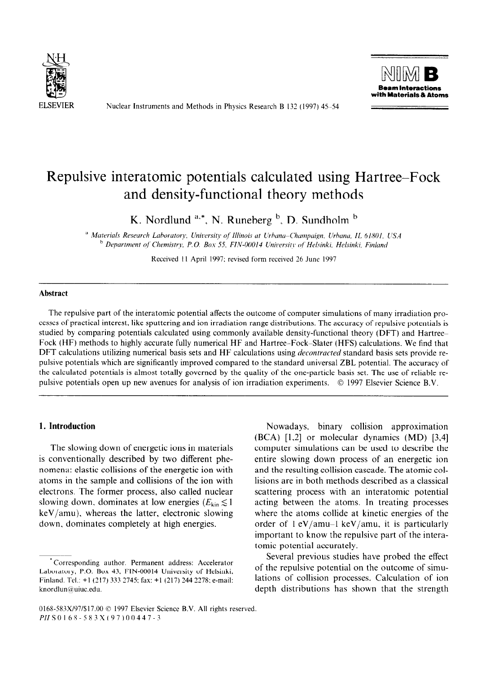

Nuclear Instruments and Methods in Physics Research B 132 (1997) 45-54



# Repulsive interatomic potentials calculated using Hartree-Fock and density-functional theory methods

K. Nordlund  $a^*$ , N. Runeberg  $b$ , D. Sundholm  $b$ 

<sup>a</sup> Materials Research Laboratory. University of Illinois at Urbana-Champaign, Urbana, IL 61801, USA *' Depurtment qf' Clwmistry. P. 0. Boz 55. FIN-00014 Uniwrsity* of' *Helsinki. Helsinki, Finland* 

Received 11 April 1997; revised form received 26 June 1997

## **Abstract**

The repulsive part of the interatomic potential affects the outcome of computer simulations of many irradiation processes of practical interest, like sputtering and ion irradiation range distributions. The accuracy of repulsive potentials is studied by comparing potentials calculated using commonly available density-functional theory (DFT) and Hartree-Fock (HF) methods to highly accurate fully numerical HF and Hartree-Fock-Slater (HFS) calculations. We find that DFT calculations utilizing numerical basis sets and HF calculations using *decontracted* standard basis sets provide repulsive potentials which are significantly improved compared to the standard universal ZBL potential. The accuracy of the calculated potentials is almost totally governed by the quality of the one-particle basis set. The use of reliable repulsive potentials open up new avenues for analysis of ion irradiation experiments. 0 1997 Elsevier Science B.V.

## **1. Introduction**

The slowing down of energetic ions in materials is conventionally described by two different phenomena: elastic collisions of the energetic ion with atoms in the sample and collisions of the ion with electrons. The former process, also called nuclear slowing down. dominates at low energies ( $E_{kin} \lesssim 1$ ) keV/amu), whereas the latter, electronic slowing down. dominates completely at high energies.

Nowadays, binary collision approximation (BCA) [1,2] or molecular dynamics (MD) [3,4] computer simulations can be used to describe the entire slowing down process of an energetic ion and the resulting collision cascade. The atomic collisions are in both methods described as a classical scattering process with an interatomic potential acting between the atoms. In treating processes where the atoms collide at kinetic energies of the order of  $1 \text{ eV/amu-1 keV/amu}$ , it is particularly important to know the repulsive part of the interatomic potential accurately.

Several previous studies have probed the effect of the repulsive potential on the outcome of simulations of collision processes. Calculation of ion depth distributions has shown that the strength

<sup>\*</sup>Corresponding author. Permanent address: Accelerator Laboratory, P.O. Box 43, FIN-00014 University of Helsinki, Finland. Tel.: +l (217) 333 2745: fax: +I (217) 244 2278: e-mail: knordlun@uiuc.edu.

<sup>0168-583</sup>X/97/\$17.00 © 1997 Elsevier Science B.V. All rights reserved. PIIS0168-583X(97)00447-3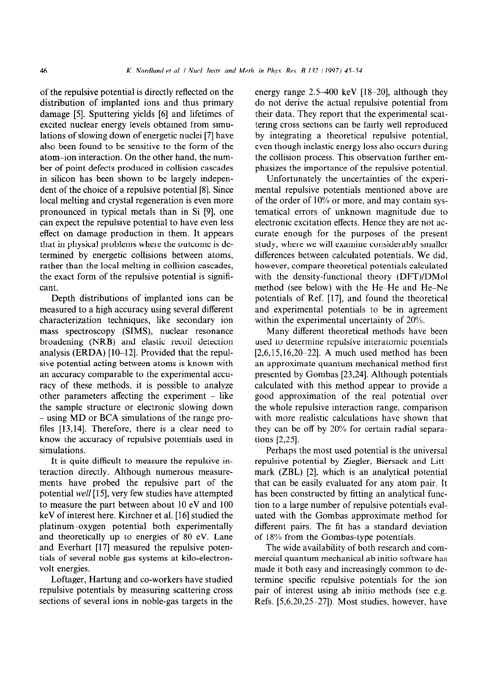of the repulsive potential is directly reflected on the distribution of implanted ions and thus primary damage [5]. Sputtering yields [6] and lifetimes of excited nuclear energy levels obtained from simulations of slowing down of energetic nuclei [7] have also been found to be sensitive to the form of the atom-ion interaction. On the other hand, the number of point defects produced in collision cascades in silicon has been shown to be largely independent of the choice of a repulsive potential [8]. Since local melting and crystal regeneration is even more pronounced in typical metals than in Si [9], one can expect the repulsive potential to have even less effect on damage production in them. It appears that in physical problems where the outcome is determined by energetic collisions between atoms, rather than the local melting in collision cascades, the exact form of the repulsive potential is significant.

Depth distributions of implanted ions can be measured to a high accuracy using several different characterization techniques, like secondary ion mass spectroscopy (SIMS), nuclear resonance broadening (NRB) and elastic recoil detection analysis (ERDA)  $[10-12]$ . Provided that the repulsive potential acting between atoms is known with an accuracy comparable to the experimental accuracy of these methods, it is possible to analyze other parameters affecting the experiment  $-$  like the sample structure or electronic slowing down - using MD or BCA simulations of the range profiles [13,14]. Therefore, there is a clear need to know the accuracy of repulsive potentials used in simulations.

It is quite difficult to measure the repulsive interaction directly. Although numerous measurements have probed the repulsive part of the potential well [15], very few studies have attempted to measure the part between about 10 eV and 100 keV of interest here. Kirchner et al. [16] studied the platinum-oxygen potential both experimentally and theoretically up to energies of 80 eV. Lane and Everhart [17] measured the repulsive potentials of several noble gas systems at kilo-electronvolt energies.

Loftager, Hartung and co-workers have studied repulsive potentials by measuring scattering cross sections of several ions in noble-gas targets in the energy range  $2.5-400$  keV [18-20], although they do not derive the actual repulsive potential from their data. They report that the experimental scattering cross sections can be fairly well reproduced by integrating a theoretical repulsive potential, even though inelastic energy loss also occurs during the collision process. This observation further emphasizes the importance of the repulsive potential.

Unfortunately the uncertainties of the experimental repulsive potentials mentioned above are of the order of 10% or more, and may contain systematical errors of unknown magnitude due to electronic excitation effects. Hence they are not accurate enough for the purposes of the present study, where we will examine considerably smaller differences between calculated potentials. We did, however, compare theoretical potentials calculated with the density-functional theory (DFT)/DMol method (see below) with the He-He and He-Ne potentials of Ref. [17], and found the theoretical and experimental potentials to be in agreement within the experimental uncertainty of 20%.

Many different theoretical methods have been used to determine repulsive interatomic potentials  $[2,6,15,16,20-22]$ . A much used method has been an approximate quantum mechanical method first presented by Gombas [23,24]. Although potentials calculated with this method appear to provide a good approximation of the real potential over the whole repulsive interaction range, comparison with more realistic calculations have shown that they can be off by 20% for certain radial separations [2,25].

Perhaps the most used potential is the universal repulsive potential by Ziegler, Biersack and Littmark (ZBL) [2], which is an analytical potential that can be easily evaluated for any atom pair. It has been constructed by fitting an analytical function to a large number of repulsive potentials evaluated with the Gombas approximate method for different pairs. The fit has a standard deviation of 18% from the Gombas-type potentials.

The wide availability of both research and commercial quantum mechanical ab initio software has made it both easy and increasingly common to determine specific repulsive potentials for the ion pair of interest using ab initio methods (see e.g. Refs. [5,6,20,25-271). Most studies, however, have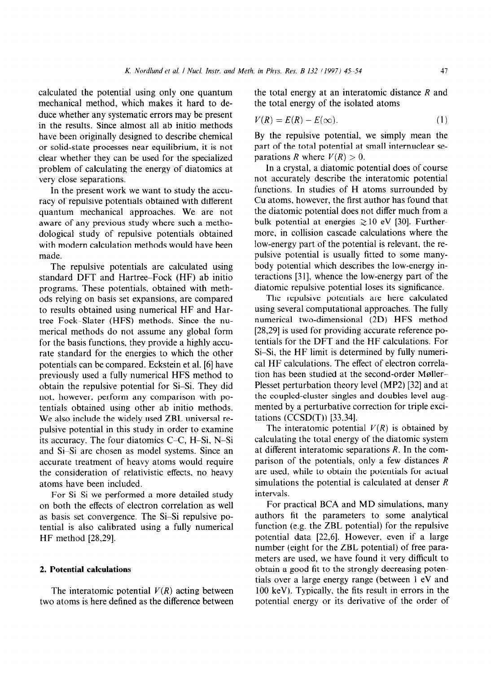calculated the potential using only one quantum mechanical method, which makes it hard to deduce whether any systematic errors may be present in the results. Since almost all ab initio methods have been originally designed to describe chemical or solid-state processes near equilibrium, it is not clear whether they can be used for the specialized problem of calculating the energy of diatomics at very close separations.

In the present work we want to study the accuracy of repulsive potentials obtained with different quantum mechanical approaches. We are not aware of any previous study where such a methodological study of repulsive potentials obtained with modern calculation methods would have been made.

The repulsive potentials are calculated using standard DFT and Hartree-Fock (HF) ab initio programs. These potentials, obtained with methods relying on basis set expansions, are compared to results obtained using numerical HF and Hartree-Fock-Slater (HFS) methods. Since the numerical methods do not assume any global form for the basis functions, they provide a highly accurate standard for the energies to which the other potentials can be compared. Eckstein et al. [6] have previously used a fully numerical HFS method to obtain the repulsive potential for Si-Si. They did not, however, perform any comparison with potentials obtained using other ab initio methods. We also include the widely used ZBL universal repulsive potential in this study in order to examine its accuracy. The four diatomics C-C, H-Si, N-Si and Si-Si are chosen as model systems. Since an accurate treatment of heavy atoms would require the consideration of relativistic effects, no heavy atoms have been included.

For Si-Si we performed a more detailed study on both the effects of electron correlation as well as basis set convergence. The Si-Si repulsive potential is also calibrated using a fully numerical HF method [28,29].

# 2. **Potential calculations**

The interatomic potential  $V(R)$  acting between two atoms is here defined as the difference between the total energy at an interatomic distance *R* and the total energy of the isolated atoms

$$
V(R) = E(R) - E(\infty). \tag{1}
$$

By the repulsive potential, we simply mean the part of the total potential at small internuclear separations *R* where  $V(R) > 0$ .

In a crystal, a diatomic potential does of course not accurately describe the interatomic potential functions. In studies of H atoms surrounded by Cu atoms, however, the first author has found that the diatomic potential does not differ much from a bulk potential at energies  $\geq 10$  eV [30]. Furthermore, in collision cascade calculations where the low-energy part of the potential is relevant, the repulsive potential is usually fitted to some manybody potential which describes the low-energy interactions [31], whence the low-energy part of the diatomic repulsive potential loses its significance.

The repulsive potentials are here calculated using several computational approaches. The fully numerical two-dimensional (2D) HFS method [28,29] is used for providing accurate reference potentials for the DFT and the HF calculations. For Si-Si, the HF limit is determined by fully numerical HF calculations. The effect of electron correlation has been studied at the second-order Moller-Plesset perturbation theory level (MP2) [32] and at the coupled-cluster singles and doubles level augmented by a perturbative correction for triple excitations (CCSD(T)) [33,34].

The interatomic potential  $V(R)$  is obtained by calculating the total energy of the diatomic system at different interatomic separations *R.* In the comparison of the potentials, only a few distances *R*  are used, while to obtain the potentials for actual simulations the potential is calculated at denser *R*  intervals.

For practical BCA and MD simulations, many authors fit the parameters to some analytical function (e.g. the ZBL potential) for the repulsive potential data [22,6]. However, even if a large number (eight for the ZBL potential) of free parameters are used, we have found it very difficult to obtain a good fit to the strongly decreasing potentials over a large energy range (between 1 eV and 100 keV). Typically, the fits result in errors in the potential energy or its derivative of the order of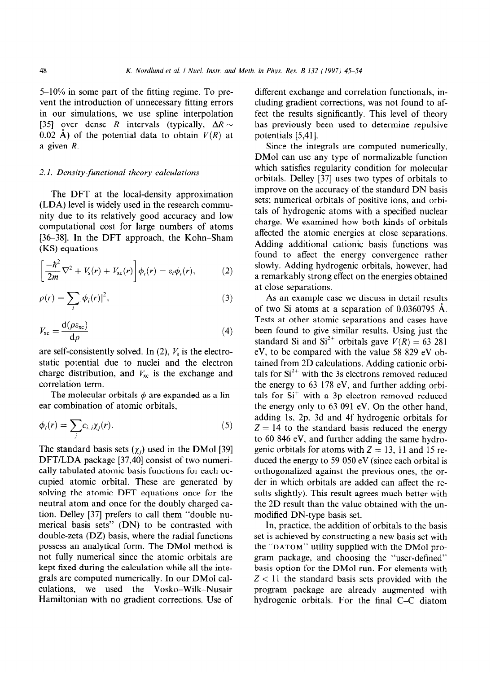5-10% in some part of the fitting regime. To prevent the introduction of unnecessary fitting errors in our simulations, we use spline interpolation [35] over dense *R* intervals (typically,  $\Delta R \sim$ 0.02  $\AA$ ) of the potential data to obtain  $V(R)$  at a given *R.* 

## 2.1. *Density-functional theory calculations*

The DFT at the local-density approximation (LDA) level is widely used in the research community due to its relatively good accuracy and low computational cost for large numbers of atoms [ $36-38$ ]. In the DFT approach, the Kohn-Sham (KS) equations

$$
\left[\frac{-\hbar^2}{2m}\nabla^2 + V_s(r) + V_{\rm xc}(r)\right]\phi_i(r) = \varepsilon_i\phi_i(r),\qquad (2)
$$

$$
\rho(r) = \sum_{i} |\phi_i(r)|^2,
$$
\n(3)

$$
V_{\rm xc} = \frac{\mathrm{d}(\rho \varepsilon_{\rm xc})}{\mathrm{d}\rho} \tag{4}
$$

are self-consistently solved. In (2),  $V_s$  is the electrostatic potential due to nuclei and the electron charge distribution, and  $V_{\text{xc}}$  is the exchange and correlation term.

The molecular orbitals  $\phi$  are expanded as a linear combination of atomic orbitals,

$$
\phi_i(r) = \sum_j c_{i,j} \chi_j(r). \tag{5}
$$

The standard basis sets  $(\chi_i)$  used in the DMol [39] DFT/LDA package [37,40] consist of two numerically tabulated atomic basis functions for each occupied atomic orbital. These are generated by solving the atomic DFT equations once for the neutral atom and once for the doubly charged cation. Delley [37] prefers to call them "double numerical basis sets" (DN) to be contrasted with double-zeta (DZ) basis, where the radial functions possess an analytical form. The DMol method is not fully numerical since the atomic orbitals are kept fixed during the calculation while all the integrals are computed numerically. In our DMol calwe used the Vosko-Wilk-Nusair Hamiltonian with no gradient corrections. Use of different exchange and correlation functionals, including gradient corrections, was not found to affect the results significantly. This level of theory has previously been used to determine repulsive potentials [5,41].

Since the integrals are computed numerically, DMol can use any type of normalizable function which satisfies regularity condition for molecular orbitals. Delley [37] uses two types of orbitals to improve on the accuracy of the standard DN basis sets; numerical orbitals of positive ions, and orbitals of hydrogenic atoms with a specified nuclear charge. We examined how both kinds of orbitals affected the atomic energies at close separations. Adding additional cationic basis functions was found to affect the energy convergence rather slowly. Adding hydrogenic orbitals, however, had a remarkably strong effect on the energies obtained at close separations.

As an example case we discuss in detail results of two Si atoms at a separation of 0.0360795 A. Tests at other atomic separations and cases have been found to give similar results. Using just the standard Si and  $Si^{2+}$  orbitals gave  $V(R) = 63,281$ eV, to be compared with the value 58 829 eV obtained from 2D calculations. Adding cationic orbitals for  $Si<sup>2+</sup>$  with the 3s electrons removed reduced the energy to 63 178 eV, and further adding orbitals for Si<sup>+</sup> with a 3p electron removed reduced the energy only to 63 091 eV. On the other hand, adding Is, 2p, 3d and 4f hydrogenic orbitals for  $Z = 14$  to the standard basis reduced the energy to 60 846 eV, and further adding the same hydrogenic orbitals for atoms with  $Z = 13$ , 11 and 15 reduced the energy to 59 050 eV (since each orbital is orthogonalized against the previous ones, the order in which orbitals are added can affect the results slightly). This result agrees much better with the 2D result than the value obtained with the unmodified DN-type basis set.

In, practice, the addition of orbitals to the basis set is achieved by constructing a new basis set with the **"DATOM"** utility supplied with the DMol program package, and choosing the "user-defined" basis option for the DMol run. For elements with  $Z < 11$  the standard basis sets provided with the program package are already augmented with hydrogenic orbitals. For the final C-C diatom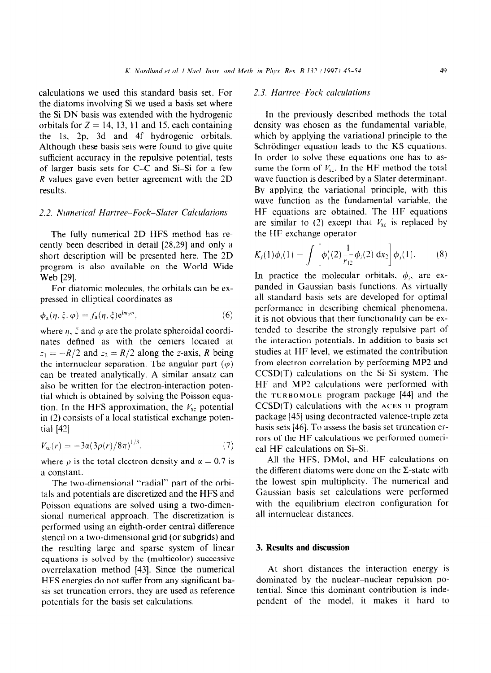calculations we used this standard basis set. For the diatoms involving Si we used a basis set where the Si DN basis was extended with the hydrogenic orbitals for  $Z = 14$ , 13, 11 and 15, each containing the Is, 2p, 3d and 4f hydrogenic orbitals. Although these basis sets were found to give quite sufficient accuracy in the repulsive potential, tests of larger basis sets for  $C-C$  and  $Si-Si$  for a few *R* values gave even better agreement with the 2D results.

#### 2.2. *Numerical Hurtree-Fock-Sluter Calculations*

The fully numerical 2D HFS method has recently been described in detail [28,29] and only a short description will be presented here. The 2D program is also available on the World Wide Web [29].

For diatomic molecules, the orbitals can be expressed in elliptical coordinates as

$$
\phi_{\mathbf{a}}(\eta, \xi, \varphi) = f_{\mathbf{a}}(\eta, \xi) e^{\mathbf{i} m_{\mathbf{a}} \varphi},\tag{6}
$$

where  $\eta$ ,  $\xi$  and  $\varphi$  are the prolate spheroidal coordinates defined as with the centers located at  $z_1 = -R/2$  and  $z_2 = R/2$  along the z-axis, *R* being the internuclear separation. The angular part  $(\varphi)$ can be treated analytically. A similar ansatz can also be written for the electron-interaction potential which is obtained by solving the Poisson equation. In the HFS approximation, the  $V_{\text{xc}}$  potential in (3) consists of a local statistical exchange potential [42]

$$
V_{\rm xc}(r) = -3\alpha(3\rho(r)/8\pi)^{1/3},\tag{7}
$$

where  $\rho$  is the total electron density and  $\alpha = 0.7$  is a constant.

The two-dimensional "radial" part of the orbitals and potentials are discretized and the HFS and Poisson equations are solved using a two-dimensional numerical approach. The discretization is performed using an eighth-order central difference stencil on a two-dimensional grid (or subgrids) and the resulting large and sparse system of linear equations is solved by the (multicolor) successive overrelaxation method [43]. Since the numerical HFS energies do not suffer from any significant basis set truncation errors, they are used as reference potentials for the basis set calculations.

# 2.3. *Hartree-Fock culculations*

In the previously described methods the total density was chosen as the fundamental variable, which by applying the variational principle to the Schrödinger equation leads to the KS equations. In order to solve these equations one has to assume the form of  $V_{\text{xc}}$ . In the HF method the total wave function is described by a Slater determinant. By applying the variational principle, with this wave function as the fundamental variable, the HF equations are obtained. The HF equations are similar to (2) except that  $V_{\text{xc}}$  is replaced by the HF exchange operator

$$
K_j(1)\phi_i(1) = \int \left[ \phi_j^*(2) \frac{1}{r_{12}} \phi_i(2) dx_2 \right] \phi_j(1).
$$
 (8)

In practice the molecular orbitals,  $\phi_i$ , are expanded in Gaussian basis functions. As virtually all standard basis sets are developed for optimal performance in describing chemical phenomena, it is not obvious that their functionality can be extended to describe the strongly repulsive part of the interaction potentials. In addition to basis set studies at HF level, we estimated the contribution from electron correlation by performing MP2 and  $CCSD(T)$  calculations on the Si-Si system. The HF and MP2 calculations were performed with the **TURBOMOLE** program package [44] and the CCSD(T) calculations with the **ACES II** program package [45] using decontracted valence-triple zeta basis sets [46]. To assess the basis set truncation errors of the HF calculations we performed numerical HF calculations on Si-Si.

All the HFS. DMol, and HF calculations on the different diatoms were done on the  $\Sigma$ -state with the lowest spin multiplicity. The numerical and Gaussian basis set calculations were performed with the equilibrium electron configuration for all internuclear distances.

# 3. **Results and discussion**

At short distances the interaction energy is dominated by the nuclear-nuclear repulsion potential. Since this dominant contribution is independent of the model, it makes it hard to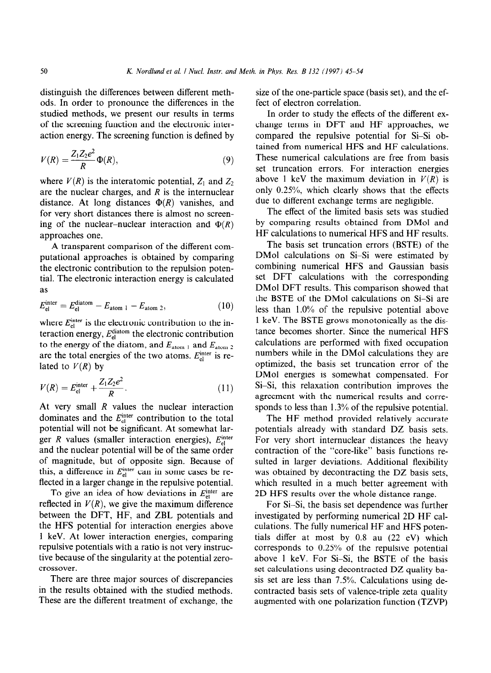distinguish the differences between different methods. In order to pronounce the differences in the studied methods, we present our results in terms of the screening function and the electronic interaction energy. The screening function is defined by

$$
V(R) = \frac{Z_1 Z_2 e^2}{R} \Phi(R),\tag{9}
$$

where  $V(R)$  is the interatomic potential,  $Z_1$  and  $Z_2$ are the nuclear charges, and *R* is the internuclear distance. At long distances  $\Phi(R)$  vanishes, and for very short distances there is almost no screening of the nuclear-nuclear interaction and  $\Phi(R)$ approaches one.

A transparent comparison of the different computational approaches is obtained by comparing the electronic contribution to the repulsion potential. The electronic interaction energy is calculated as

$$
E_{\rm el}^{\rm inter} = E_{\rm el}^{\rm diatom} - E_{\rm atom 1} - E_{\rm atom 2},\tag{10}
$$

where  $E_{el}^{\text{inter}}$  is the electronic contribution to the interaction energy, *Ezliatom* the electronic contribution to the energy of the diatom, and  $E_{\text{atom 1}}$  and  $E_{\text{atom 2}}$ are the total energies of the two atoms.  $E_{el}^{\text{inter}}$  is related to  $V(R)$  by

$$
V(R) = E_{\rm el}^{\rm inter} + \frac{Z_1 Z_2 e^2}{R}.
$$
 (11)

At very small *R* values the nuclear interaction dominates and the  $E_{el}^{\text{inter}}$  contribution to the total potential will not be significant. At somewhat larger *R* values (smaller interaction energies),  $E_{el}^{inter}$ and the nuclear potential will be of the same order of magnitude, but of opposite sign. Because of this, a difference in  $E_{el}^{\text{inter}}$  can in some cases be reflected in a larger change in the repulsive potential.

To give an idea of how deviations in  $E_{el}^{\text{inter}}$  are reflected in  $V(R)$ , we give the maximum difference between the DFT, HF, and ZBL potentials and the HFS potential for interaction energies above 1 keV. At lower interaction energies, comparing repulsive potentials with a ratio is not very instructive because of the singularity at the potential zerocrossover.

There are three major sources of discrepancies in the results obtained with the studied methods. These are the different treatment of exchange, the

size of the one-particle space (basis set), and the effect of electron correlation.

In order to study the effects of the different exchange terms in DFT and HF approaches, we compared the repulsive potential for Si-Si obtained from numerical HFS and HF calculations. These numerical calculations are free from basis set truncation errors. For interaction energies above 1 keV the maximum deviation in  $V(R)$  is only 0.25%, which clearly shows that the effects due to different exchange terms are negligible.

The effect of the limited basis sets was studied by comparing results obtained from DMol and HF calculations to numerical HFS and HF results.

The basis set truncation errors (BSTE) of the DMol calculations on Si-Si were estimated by combining numerical HFS and Gaussian basis set DFT calculations with the corresponding DMol DFT results. This comparison showed that the BSTE of the DMol calculations on Si-Si are less than 1.0% of the repulsive potential above 1 keV. The BSTE grows monotonically as the distance becomes shorter. Since the numerical HFS calculations are performed with fixed occupation numbers while in the DMol calculations they are optimized, the basis set truncation error of the DMol energies is somewhat compensated. For Si-Si, this relaxation contribution improves the agreement with the numerical results and corresponds to less than 1.3% of the repulsive potential.

The HF method provided relatively accurate potentials already with standard DZ basis sets. For very short internuclear distances the heavy contraction of the "core-like" basis functions resulted in larger deviations. Additional flexibility was obtained by decontracting the DZ basis sets, which resulted in a much better agreement with 2D HFS results over the whole distance range.

For Si-Si, the basis set dependence was further investigated by performing numerical 2D HF calculations. The fully numerical HF and HFS potentials differ at most by 0.8 au (22 eV) which corresponds to 0.25% of the repulsive potential above 1 keV. For Si-Si, the BSTE of the basis set calculations using decontracted DZ quality basis set are less than 7.5%. Calculations using decontracted basis sets of valence-triple zeta quality augmented with one polarization function (TZVP)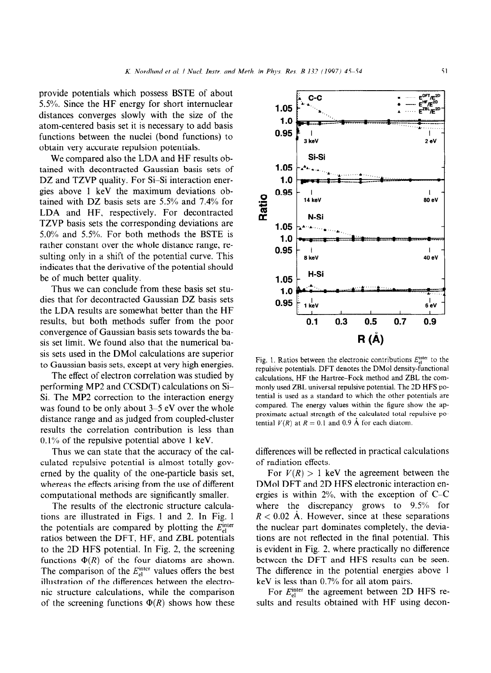provide potentials which possess BSTE of about 5.5%. Since the HF energy for short internuclear distances converges slowly with the size of the atom-centered basis set it is necessary to add basis functions between the nuclei (bond functions) to obtain very accurate repulsion potentials.

We compared also the LDA and HF results obtained with decontracted Gaussian basis sets of DZ and TZVP quality. For Si-Si interaction energies above 1 keV the maximum deviations obtained with DZ basis sets are 5.5% and 7.4% for LDA and HF. respectively. For decontracted TZVP basis sets the corresponding deviations are 5.0% and 5.5%. For both methods the BSTE is rather constant over the whole distance range, resulting only in a shift of the potential curve. This indicates that the derivative of the potential should be of much better quality.

Thus we can conclude from these basis set studies that for decontracted Gaussian DZ basis sets the LDA results are somewhat better than the HF results, but both methods suffer from the poor convergence of Gaussian basis sets towards the basis set limit. We found also that the numerical basis sets used in the DMol calculations are superior to Gaussian basis sets, except at very high energies.

The effect of electron correlation was studied by performing MP2 and CCSD(T) calculations on Si-Si. The MP2 correction to the interaction energy was found to be only about 3-5 eV over the whole distance range and as judged from coupled-cluster results the correlation contribution is less than  $0.1\%$  of the repulsive potential above 1 keV.

Thus we can state that the accuracy of the calculated repulsive potential is almost totally governed by the quality of the one-particle basis set, whereas the effects arising from the use of different computational methods are significantly smaller.

The results of the electronic structure calculations are illustrated in Figs. 1 and 2. In Fig. 1 the potentials are compared by plotting the  $E<sub>el</sub><sup>inter</sup>$ ratios between the DFT, HF, and ZBL potentials to the 2D HFS potential. In Fig. 2, the screening functions  $\Phi(R)$  of the four diatoms are shown. The comparison of the *E*<sup>inter</sup> values offers the best illustration of the differences between the electronic structure calculations, while the comparison of the screening functions  $\Phi(R)$  shows how these



Fig. 1. Ratios between the electronic contributions  $E_{el}^{inter}$  to the repulsive potentials. DFT denotes the DMol density-functional calculations, HF the Hartree-Fock method and ZBL the commonly used ZBL universal repulsive potential. The 2D HFS potential is used as a standard to which the other potentials are compared. The energy values within the figure show the approximate actual strength of the calculated total repulsive potential  $V(R)$  at  $R = 0.1$  and 0.9 Å for each diatom.

differences will be reflected in practical calculations of radiation effects.

For  $V(R) > 1$  keV the agreement between the DMol DFT and 2D HFS electronic interaction energies is within 2%, with the exception of C-C where the discrepancy grows to 9.5% for  $R < 0.02$  Å. However, since at these separations the nuclear part dominates completely, the deviations are not reflected in the final potential. This is evident in Fig. 2. where practically no difference between the DFT and HFS results can be seen. The difference in the potential energies above 1 keV is less than 0.7% for all atom pairs.

For  $E_{el}^{\text{inter}}$  the agreement between 2D HFS results and results obtained with HF using decon-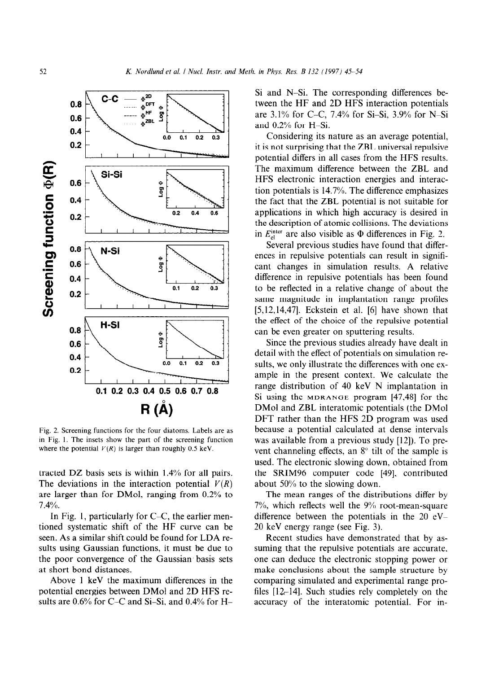

Fig. 2. Screening functions for the four diatoms. Labels are as in Fig. 1. The insets show the part of the screening function where the potential  $V(R)$  is larger than roughly 0.5 keV.

tracted DZ basis sets is within 1.4% for all pairs. The deviations in the interaction potential  $V(R)$ are larger than for DMol, ranging from 0.2% to 7.4%.

In Fig. 1, particularly for C-C, the earlier mentioned systematic shift of the HF curve can be seen. As a similar shift could be found for LDA results using Gaussian functions, it must be due to the poor convergence of the Gaussian basis sets at short bond distances.

Above 1 keV the maximum differences in the potential energies between DMol and 2D HFS results are 0.6% for C-C and Si-Si, and 0.4% for H-

Si and N-Si. The corresponding differences between the HF and 2D HFS interaction potentials are 3.1% for C-C, 7.4% for Si-Si, 3.9% for N-Si and 0.2% for H-Si.

Considering its nature as an average potential, it is not surprising that the ZBL universal repulsive potential differs in all cases from the HFS results. The maximum difference between the ZBL and HFS electronic interaction energies and interaction potentials is 14.7%. The difference emphasizes the fact that the ZBL potential is not suitable for applications in which high accuracy is desired in the description of atomic collisions. The deviations in  $E_{\rm al}^{\rm inter}$  are also visible as  $\Phi$  differences in Fig. 2.

Several previous studies have found that differences in repulsive potentials can result in significant changes in simulation results. A relative difference in repulsive potentials has been found to be reflected in a relative change of about the same magnitude in implantation range profiles  $[5,12,14,47]$ . Eckstein et al.  $[6]$  have shown that the effect of the choice of the repulsive potential can be even greater on sputtering results.

Since the previous studies already have dealt in detail with the effect of potentials on simulation results, we only illustrate the differences with one example in the present context. We calculate the range distribution of 40 keV N implantation in Si using the **MDRANGE** program [47,48] for the DMol and ZBL interatomic potentials (the DMol DFT rather than the HFS 2D program was used because a potential calculated at dense intervals was available from a previous study [12]). To prevent channeling effects, an  $8^\circ$  tilt of the sample is used. The electronic slowing down, obtained from the SRIM96 computer code [49]. contributed about 50% to the slowing down.

The mean ranges of the distributions differ by 7%, which reflects well the 9% root-mean-square difference between the potentials in the  $20 \text{ eV}$ 20 keV energy range (see Fig. 3).

Recent studies have demonstrated that by assuming that the repulsive potentials are accurate. one can deduce the electronic stopping power or make conclusions about the sample structure by comparing simulated and experimental range profiles  $[12,-14]$ . Such studies rely completely on the accuracy of the interatomic potential. For in-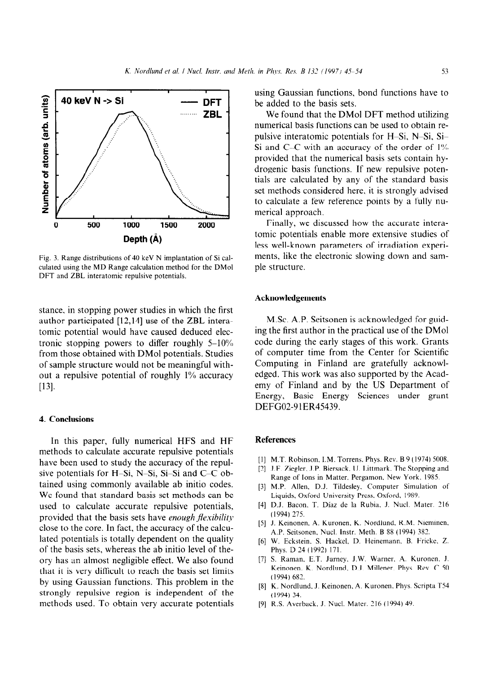

*3.* Range distributions of 40 keV N implantation of Si calculated using the MD Range calculation method for the DMol DFT and ZBL interatomic repulsive potentials.

stance. in stopping power studies in which the first author participated [12,14] use of the ZBL interatomic potential would have caused deduced electronic stopping powers to differ roughly  $5-10\%$ from those obtained with DMol potentials. Studies of sample structure would not be meaningful without a repulsive potential of roughly 1% accuracy  $[13]$ .

## **4. Conclusions**

In this paper, fully numerical HFS and HF methods to calculate accurate repulsive potentials have been used to study the accuracy of the repulsive potentials for H-Si, N-Si, Si-Si and C-C obtained using commonly available ab initio codes. We found that standard basis set methods can be used to calculate accurate repulsive potentials, provided that the basis sets have *enough flexibility* close to the core. In fact, the accuracy of the calculated potentials is totally dependent on the quality of the basis sets, whereas the ab initio level of theory has an almost negligible effect. We also found that it is very difficult to reach the basis set limits by using Gaussian functions. This problem in the strongly repulsive region is independent of the methods used. To obtain very accurate potentials using Gaussian functions, bond functions have to be added to the basis sets.

We found that the DMol DFT method utilizing numerical basis functions can be used to obtain repulsive interatomic potentials for H-Si, N-Si, Si-Si and C-C with an accuracy of the order of  $1\%$ provided that the numerical basis sets contain hydrogenic basis functions. If new repulsive potentials are calculated by any of the standard basis set methods considered here, it is strongly advised to calculate a few reference points by a fully numerical approach.

Finally, we discussed how the accurate interatomic potentials enable more extensive studies of less well-known parameters of irradiation experiments, like the electronic slowing down and sample structure.

#### **Acknowledgements**

M.Sc. A.P. Seitsonen is acknowledged for guiding the first author in the practical use of the DMol code during the early stages of this work. Grants of computer time from the Center for Scientific Computing in Finland are gratefully acknowledged. This work was also supported by the Academy of Finland and by the US Department of Energy, Basic Energy Sciences under grant DEFG02-91ER45439.

## **References**

- [II M.T. Robinson, I.M. Torrens. Phys. Rev. B 9 (1974) 5008.
- [2] J.F. Ziegler, J.P. Biersack, U. Littmark. The Stopping and Range of Ions in Matter. Pergamon. New York. 1985.
- *[31*  M.P. Allen, D.J. Tildesley. Computer Simulation of Liquids, Oxford University Press. Oxford, 1989.
- [41 D.J. Bacon. T. Diaz de la Rubia. J. Nucl. Mater. 216 (1994) 275.
- [5] J. Keinonen, A. Kuronen, K. Nordlund, R.M. Nieminer A.P. Seitsonen, Nucl. Instr. Meth. B 88 (1994) 382.
- [6] W. Eckstein, S. Hackel, D. Heinemann, B. Fricke, Z. Phys. D 24 (1992) 171.
- $[7]$  S. Raman, E.T. Jurney, J.W. Warner, A. Kuronen, J. Keinonen. K. Nordlund. D.J. Millener. Phys. Rev. C 50 (1994) 682.
- [8] K. Nordlund, J. Keinonen, A. Kuronen, Phys. Scripta T54 (1994) 34.
- [91 R.S. Averback. J. Nucl. Mater. 216 ( 1994) 49.